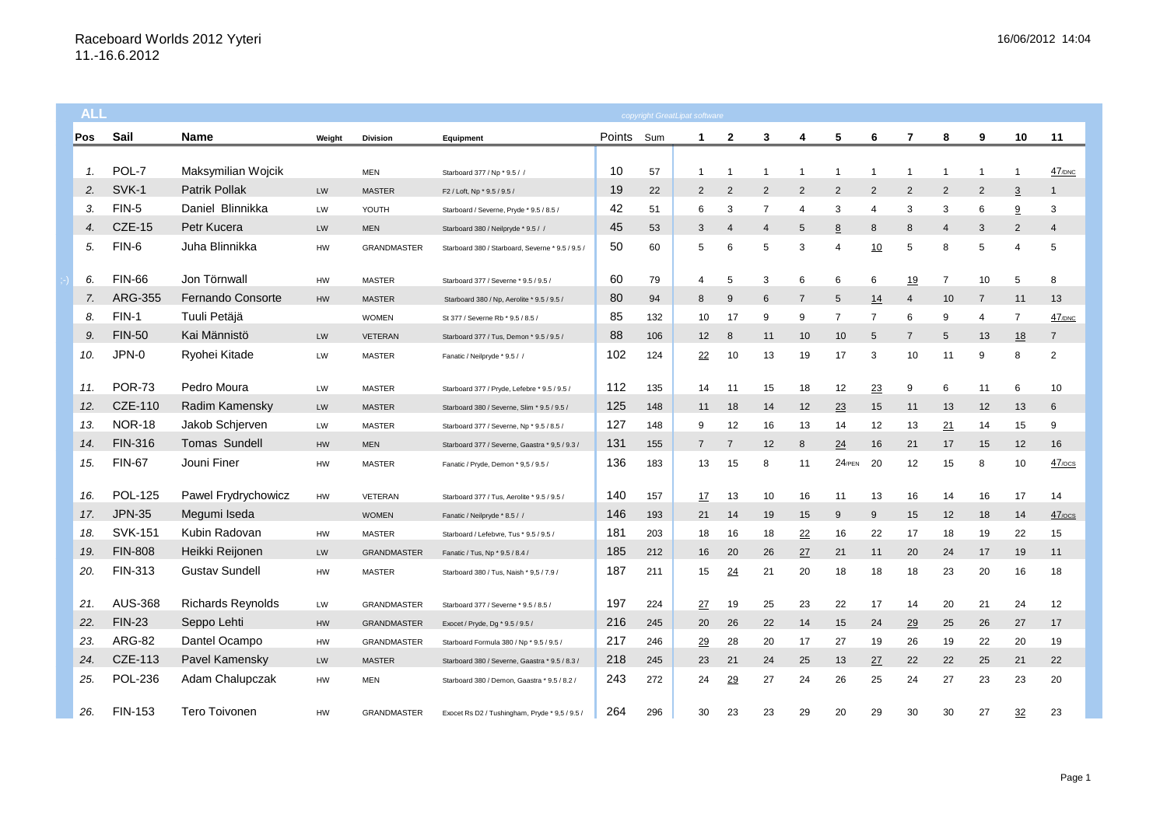| <b>ALL</b> |     |                |                          |           |                    |                                                  |        |     | copyright GreatLipat software |                |                |                |                |    |                |                |                |                |                      |
|------------|-----|----------------|--------------------------|-----------|--------------------|--------------------------------------------------|--------|-----|-------------------------------|----------------|----------------|----------------|----------------|----|----------------|----------------|----------------|----------------|----------------------|
|            | Pos | Sail           | <b>Name</b>              | Weight    | <b>Division</b>    | Equipment                                        | Points | Sum | 1                             | 2              | 3              | 4              | 5              | 6  | 7              | 8              | 9              | 10             | 11                   |
|            |     |                |                          |           |                    |                                                  |        |     |                               |                |                |                |                |    |                |                |                |                |                      |
|            | 1.  | POL-7          | Maksymilian Wojcik       |           | <b>MEN</b>         | Starboard 377 / Np * 9.5 / /                     | 10     | 57  | $\mathbf{1}$                  |                | $\overline{1}$ | -1             | -1             | -1 | $\overline{1}$ | $\overline{1}$ | $\mathbf 1$    | -1             | $47$ <sub>/DNC</sub> |
|            | 2.  | SVK-1          | <b>Patrik Pollak</b>     | LW        | <b>MASTER</b>      | F2 / Loft, Np * 9.5 / 9.5 /                      | 19     | 22  | $\overline{2}$                | $\overline{2}$ | $\overline{2}$ | $\overline{2}$ | 2              | 2  | $\overline{2}$ | $\overline{2}$ | $\overline{2}$ | $\overline{3}$ | -1                   |
|            | 3.  | FIN-5          | Daniel Blinnikka         | LW        | YOUTH              | Starboard / Severne, Pryde * 9.5 / 8.5 /         | 42     | 51  | 6                             | 3              | 7              | $\overline{4}$ | 3              | 4  | 3              | 3              | 6              | 9              | 3                    |
|            | 4.  | <b>CZE-15</b>  | Petr Kucera              | <b>LW</b> | <b>MEN</b>         | Starboard 380 / Neilpryde * 9.5 / /              | 45     | 53  | 3                             | $\overline{4}$ | $\overline{4}$ | 5              | 8              | 8  | 8              | 4              | 3              | $\overline{2}$ | $\overline{4}$       |
|            | 5.  | FIN-6          | Juha Blinnikka           | HW        | <b>GRANDMASTER</b> | Starboard 380 / Starboard, Severne * 9.5 / 9.5 / | 50     | 60  | 5                             | 6              | 5              | 3              | $\overline{4}$ | 10 | 5              | 8              | 5              | 4              | 5                    |
|            | 6.  | <b>FIN-66</b>  | Jon Törnwall             | HW        | <b>MASTER</b>      | Starboard 377 / Severne * 9.5 / 9.5 /            | 60     | 79  | 4                             | 5              | 3              | 6              | 6              | 6  | 19             | $\overline{7}$ | 10             | 5              | 8                    |
|            | 7.  | <b>ARG-355</b> | Fernando Consorte        | HW        | <b>MASTER</b>      | Starboard 380 / Np, Aerolite * 9.5 / 9.5 /       | 80     | 94  | 8                             | 9              | 6              | 7              | 5              | 14 | $\overline{4}$ | 10             | $\overline{7}$ | 11             | 13                   |
|            | 8.  | $FIN-1$        | Tuuli Petäjä             |           | <b>WOMEN</b>       | St 377 / Severne Rb * 9.5 / 8.5 /                | 85     | 132 | 10                            | 17             | 9              | 9              | 7              | 7  | 6              | 9              | 4              | $\overline{7}$ | 47/DNC               |
|            | 9.  | <b>FIN-50</b>  | Kai Männistö             | LW        | <b>VETERAN</b>     | Starboard 377 / Tus, Demon * 9.5 / 9.5 /         | 88     | 106 | 12                            | 8              | 11             | 10             | 10             | 5  | $\overline{7}$ | 5              | 13             | 18             | $\overline{7}$       |
|            | 10. | JPN-0          | Ryohei Kitade            | LW        | <b>MASTER</b>      | Fanatic / Neilpryde * 9.5 / /                    | 102    | 124 | 22                            | 10             | 13             | 19             | 17             | 3  | 10             | 11             | 9              | 8              | 2                    |
|            | 11. | <b>POR-73</b>  | Pedro Moura              | LW        | <b>MASTER</b>      | Starboard 377 / Pryde, Lefebre * 9.5 / 9.5 /     | 112    | 135 | 14                            | 11             | 15             | 18             | 12             | 23 | 9              | 6              | 11             | 6              | 10                   |
|            | 12. | <b>CZE-110</b> | Radim Kamensky           | LW        | <b>MASTER</b>      | Starboard 380 / Severne, Slim * 9.5 / 9.5 /      | 125    | 148 | 11                            | 18             | 14             | 12             | 23             | 15 | 11             | 13             | 12             | 13             | 6                    |
|            | 13. | <b>NOR-18</b>  | Jakob Schjerven          | LW        | <b>MASTER</b>      | Starboard 377 / Severne, Np * 9.5 / 8.5 /        | 127    | 148 | 9                             | 12             | 16             | 13             | 14             | 12 | 13             | 21             | 14             | 15             | 9                    |
|            | 14. | <b>FIN-316</b> | Tomas Sundell            | HW        | <b>MEN</b>         | Starboard 377 / Severne, Gaastra * 9,5 / 9.3 /   | 131    | 155 | $\overline{7}$                | $\overline{7}$ | 12             | 8              | 24             | 16 | 21             | 17             | 15             | 12             | 16                   |
|            | 15. | <b>FIN-67</b>  | Jouni Finer              | HW        | <b>MASTER</b>      | Fanatic / Pryde, Demon * 9,5 / 9.5 /             | 136    | 183 | 13                            | 15             | 8              | 11             | $24$ /PEN      | 20 | 12             | 15             | 8              | 10             | $47$ / $\circ$ cs    |
|            | 16. | <b>POL-125</b> | Pawel Frydrychowicz      | HW        | VETERAN            | Starboard 377 / Tus, Aerolite * 9.5 / 9.5 /      | 140    | 157 | <u>17</u>                     | 13             | 10             | 16             | 11             | 13 | 16             | 14             | 16             | 17             | 14                   |
|            | 17. | <b>JPN-35</b>  | Megumi Iseda             |           | <b>WOMEN</b>       | Fanatic / Neilpryde * 8.5 / /                    | 146    | 193 | 21                            | 14             | 19             | 15             | 9              | 9  | 15             | 12             | 18             | 14             | $47$ / $\circ$ cs    |
|            | 18. | <b>SVK-151</b> | Kubin Radovan            | HW        | <b>MASTER</b>      | Starboard / Lefebvre, Tus * 9.5 / 9.5 /          | 181    | 203 | 18                            | 16             | 18             | 22             | 16             | 22 | 17             | 18             | 19             | 22             | 15                   |
|            | 19  | <b>FIN-808</b> | Heikki Reijonen          | <b>LW</b> | GRANDMASTER        | Fanatic / Tus, Np * 9.5 / 8.4 /                  | 185    | 212 | 16                            | 20             | 26             | 27             | 21             | 11 | 20             | 24             | 17             | 19             | 11                   |
|            | 20. | FIN-313        | <b>Gustav Sundell</b>    | HW        | <b>MASTER</b>      | Starboard 380 / Tus, Naish * 9,5 / 7.9 /         | 187    | 211 | 15                            | 24             | 21             | 20             | 18             | 18 | 18             | 23             | 20             | 16             | 18                   |
|            | 21. | <b>AUS-368</b> | <b>Richards Reynolds</b> | LW        | <b>GRANDMASTER</b> | Starboard 377 / Severne * 9.5 / 8.5 /            | 197    | 224 | <u>27</u>                     | 19             | 25             | 23             | 22             | 17 | 14             | 20             | 21             | 24             | 12                   |
|            | 22. | <b>FIN-23</b>  | Seppo Lehti              | HW        | <b>GRANDMASTER</b> | Exocet / Pryde, Dg * 9.5 / 9.5 /                 | 216    | 245 | 20                            | 26             | 22             | 14             | 15             | 24 | 29             | 25             | 26             | 27             | 17                   |
|            | 23. | <b>ARG-82</b>  | Dantel Ocampo            | HW        | GRANDMASTER        | Starboard Formula 380 / Np * 9.5 / 9.5 /         | 217    | 246 | 29                            | 28             | 20             | 17             | 27             | 19 | 26             | 19             | 22             | 20             | 19                   |
|            | 24. | CZE-113        | Pavel Kamensky           | <b>LW</b> | <b>MASTER</b>      | Starboard 380 / Severne, Gaastra * 9.5 / 8.3 /   | 218    | 245 | 23                            | 21             | 24             | 25             | 13             | 27 | 22             | 22             | 25             | 21             | 22                   |
|            | 25. | <b>POL-236</b> | Adam Chalupczak          | HW        | <b>MEN</b>         | Starboard 380 / Demon, Gaastra * 9.5 / 8.2 /     | 243    | 272 | 24                            | 29             | 27             | 24             | 26             | 25 | 24             | 27             | 23             | 23             | 20                   |
|            | 26. | <b>FIN-153</b> | Tero Toivonen            | HW        | <b>GRANDMASTER</b> | Exocet Rs D2 / Tushingham, Pryde * 9,5 / 9.5 /   | 264    | 296 | 30                            | 23             | 23             | 29             | 20             | 29 | 30             | 30             | 27             | 32             | 23                   |